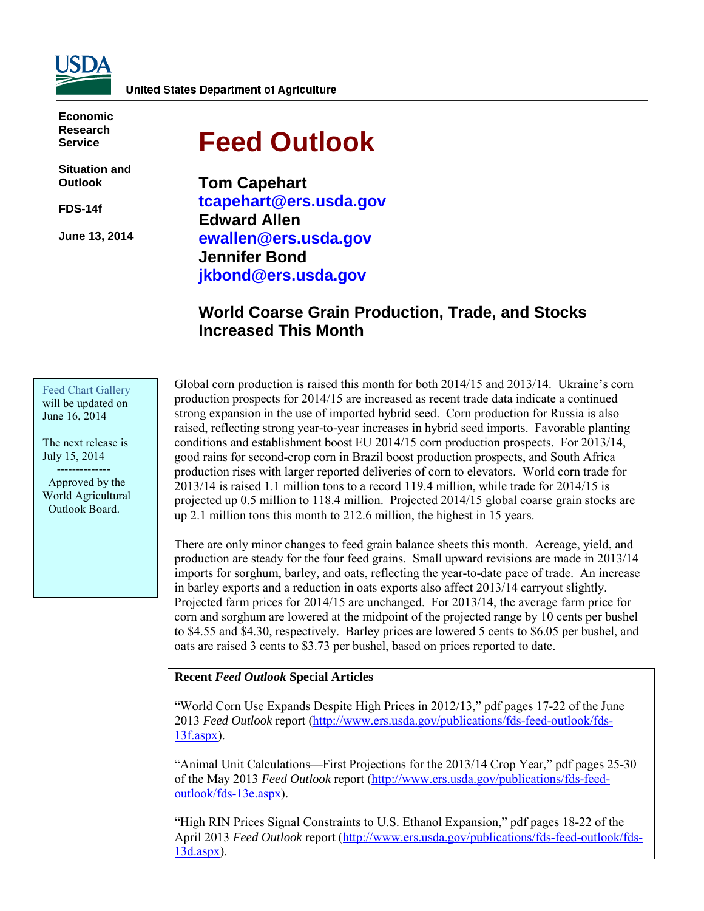

**Economic Research Service**

**Situation and Outlook**

**FDS-14f** 

**June 13, 2014** 

# **Feed Outlook**

**Tom Capehart tcapehart@ers.usda.gov Edward Allen ewallen@ers.usda.gov Jennifer Bond jkbond@ers.usda.gov** 

## **World Coarse Grain Production, Trade, and Stocks Increased This Month**

Feed Chart Gallery will be updated on June 16, 2014

The next release is July 15, 2014 --------------

 Approved by the World Agricultural Outlook Board.

Global corn production is raised this month for both 2014/15 and 2013/14. Ukraine's corn production prospects for 2014/15 are increased as recent trade data indicate a continued strong expansion in the use of imported hybrid seed. Corn production for Russia is also raised, reflecting strong year-to-year increases in hybrid seed imports. Favorable planting conditions and establishment boost EU 2014/15 corn production prospects. For 2013/14, good rains for second-crop corn in Brazil boost production prospects, and South Africa production rises with larger reported deliveries of corn to elevators. World corn trade for 2013/14 is raised 1.1 million tons to a record 119.4 million, while trade for 2014/15 is projected up 0.5 million to 118.4 million. Projected 2014/15 global coarse grain stocks are up 2.1 million tons this month to 212.6 million, the highest in 15 years.

There are only minor changes to feed grain balance sheets this month. Acreage, yield, and production are steady for the four feed grains. Small upward revisions are made in 2013/14 imports for sorghum, barley, and oats, reflecting the year-to-date pace of trade. An increase in barley exports and a reduction in oats exports also affect 2013/14 carryout slightly. Projected farm prices for 2014/15 are unchanged. For 2013/14, the average farm price for corn and sorghum are lowered at the midpoint of the projected range by 10 cents per bushel to \$4.55 and \$4.30, respectively. Barley prices are lowered 5 cents to \$6.05 per bushel, and oats are raised 3 cents to \$3.73 per bushel, based on prices reported to date.

#### **Recent** *Feed Outlook* **Special Articles**

"World Corn Use Expands Despite High Prices in 2012/13," pdf pages 17-22 of the June 2013 *Feed Outlook* report [\(http://www.ers.usda.gov/publications/fds-feed-outlook/fds-](http://www.ers.usda.gov/publications/fds-feed-outlook/fds-13f.aspx)[13f.aspx\)](http://www.ers.usda.gov/publications/fds-feed-outlook/fds-13f.aspx).

"Animal Unit Calculations—First Projections for the 2013/14 Crop Year," pdf pages 25-30 of the May 2013 *Feed Outlook* report [\(http://www.ers.usda.gov/publications/fds-feed](http://www.ers.usda.gov/publications/fds-feed-outlook/fds-13e.aspx)[outlook/fds-13e.aspx\)](http://www.ers.usda.gov/publications/fds-feed-outlook/fds-13e.aspx).

"High RIN Prices Signal Constraints to U.S. Ethanol Expansion," pdf pages 18-22 of the April 2013 *Feed Outlook* report [\(http://www.ers.usda.gov/publications/fds-feed-outlook/fds-](http://www.ers.usda.gov/publications/fds-feed-outlook/fds-13d.aspx)[13d.aspx\)](http://www.ers.usda.gov/publications/fds-feed-outlook/fds-13d.aspx).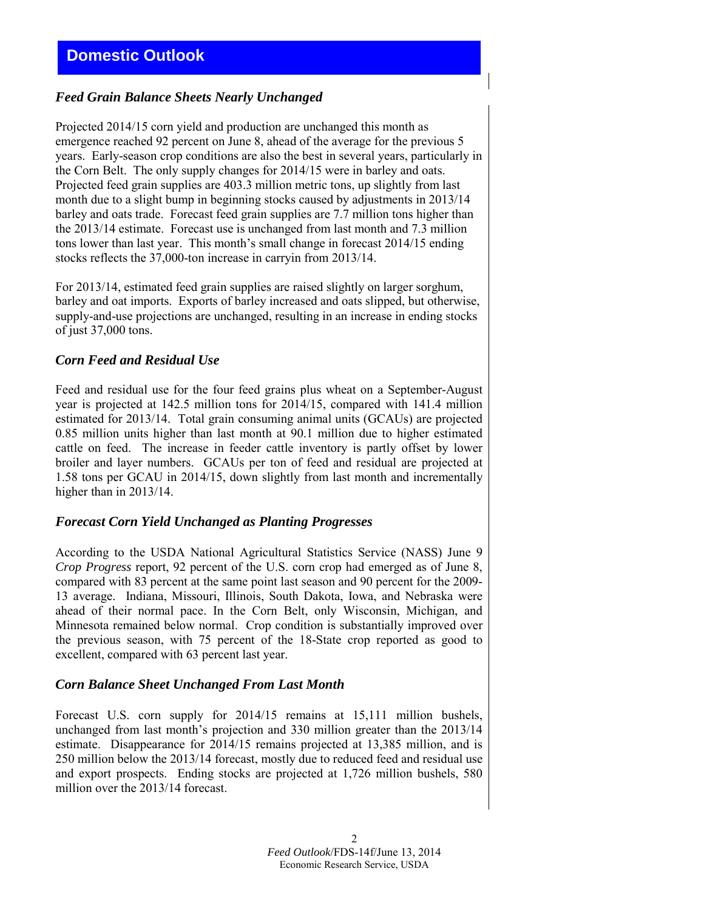## *Feed Grain Balance Sheets Nearly Unchanged*

Projected 2014/15 corn yield and production are unchanged this month as emergence reached 92 percent on June 8, ahead of the average for the previous 5 years. Early-season crop conditions are also the best in several years, particularly in the Corn Belt. The only supply changes for 2014/15 were in barley and oats. Projected feed grain supplies are 403.3 million metric tons, up slightly from last month due to a slight bump in beginning stocks caused by adjustments in 2013/14 barley and oats trade. Forecast feed grain supplies are 7.7 million tons higher than the 2013/14 estimate. Forecast use is unchanged from last month and 7.3 million tons lower than last year. This month's small change in forecast 2014/15 ending stocks reflects the 37,000-ton increase in carryin from 2013/14.

For 2013/14, estimated feed grain supplies are raised slightly on larger sorghum, barley and oat imports. Exports of barley increased and oats slipped, but otherwise, supply-and-use projections are unchanged, resulting in an increase in ending stocks of just 37,000 tons.

### *Corn Feed and Residual Use*

Feed and residual use for the four feed grains plus wheat on a September-August year is projected at 142.5 million tons for 2014/15, compared with 141.4 million estimated for 2013/14. Total grain consuming animal units (GCAUs) are projected 0.85 million units higher than last month at 90.1 million due to higher estimated cattle on feed. The increase in feeder cattle inventory is partly offset by lower broiler and layer numbers. GCAUs per ton of feed and residual are projected at 1.58 tons per GCAU in 2014/15, down slightly from last month and incrementally higher than in 2013/14.

### *Forecast Corn Yield Unchanged as Planting Progresses*

According to the USDA National Agricultural Statistics Service (NASS) June 9 *Crop Progress* report, 92 percent of the U.S. corn crop had emerged as of June 8, compared with 83 percent at the same point last season and 90 percent for the 2009- 13 average. Indiana, Missouri, Illinois, South Dakota, Iowa, and Nebraska were ahead of their normal pace. In the Corn Belt, only Wisconsin, Michigan, and Minnesota remained below normal. Crop condition is substantially improved over the previous season, with 75 percent of the 18-State crop reported as good to excellent, compared with 63 percent last year.

#### *Corn Balance Sheet Unchanged From Last Month*

Forecast U.S. corn supply for 2014/15 remains at 15,111 million bushels, unchanged from last month's projection and 330 million greater than the 2013/14 estimate. Disappearance for 2014/15 remains projected at 13,385 million, and is 250 million below the 2013/14 forecast, mostly due to reduced feed and residual use and export prospects. Ending stocks are projected at 1,726 million bushels, 580 million over the 2013/14 forecast.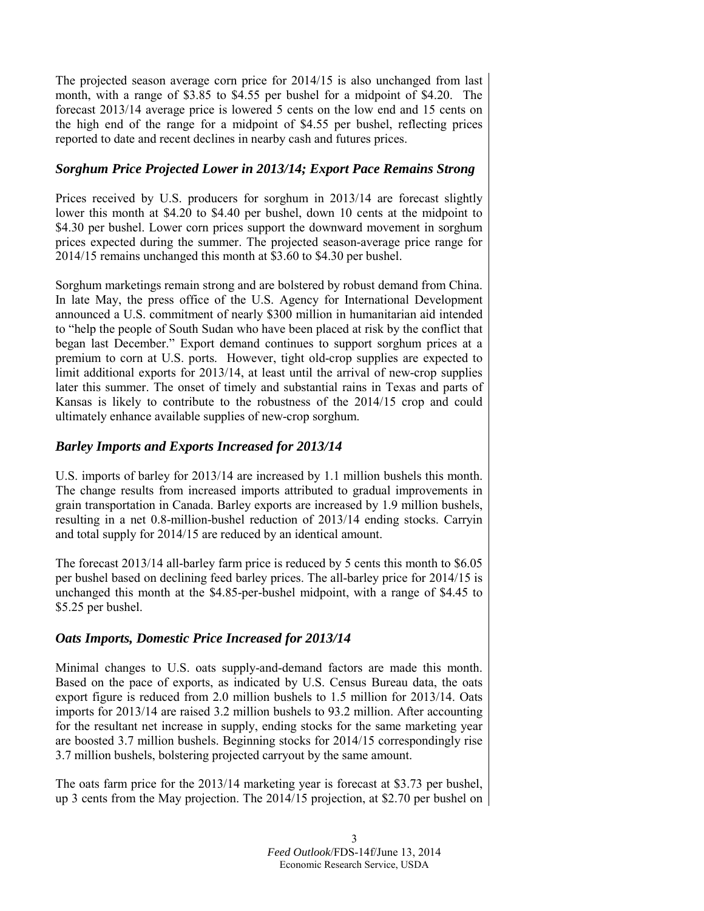The projected season average corn price for 2014/15 is also unchanged from last month, with a range of \$3.85 to \$4.55 per bushel for a midpoint of \$4.20. The forecast 2013/14 average price is lowered 5 cents on the low end and 15 cents on the high end of the range for a midpoint of \$4.55 per bushel, reflecting prices reported to date and recent declines in nearby cash and futures prices.

## *Sorghum Price Projected Lower in 2013/14; Export Pace Remains Strong*

Prices received by U.S. producers for sorghum in 2013/14 are forecast slightly lower this month at \$4.20 to \$4.40 per bushel, down 10 cents at the midpoint to \$4.30 per bushel. Lower corn prices support the downward movement in sorghum prices expected during the summer. The projected season-average price range for 2014/15 remains unchanged this month at \$3.60 to \$4.30 per bushel.

Sorghum marketings remain strong and are bolstered by robust demand from China. In late May, the press office of the U.S. Agency for International Development announced a U.S. commitment of nearly \$300 million in humanitarian aid intended to "help the people of South Sudan who have been placed at risk by the conflict that began last December." Export demand continues to support sorghum prices at a premium to corn at U.S. ports. However, tight old-crop supplies are expected to limit additional exports for 2013/14, at least until the arrival of new-crop supplies later this summer. The onset of timely and substantial rains in Texas and parts of Kansas is likely to contribute to the robustness of the 2014/15 crop and could ultimately enhance available supplies of new-crop sorghum.

## *Barley Imports and Exports Increased for 2013/14*

U.S. imports of barley for 2013/14 are increased by 1.1 million bushels this month. The change results from increased imports attributed to gradual improvements in grain transportation in Canada. Barley exports are increased by 1.9 million bushels, resulting in a net 0.8-million-bushel reduction of 2013/14 ending stocks. Carryin and total supply for 2014/15 are reduced by an identical amount.

The forecast 2013/14 all-barley farm price is reduced by 5 cents this month to \$6.05 per bushel based on declining feed barley prices. The all-barley price for 2014/15 is unchanged this month at the \$4.85-per-bushel midpoint, with a range of \$4.45 to \$5.25 per bushel.

## *Oats Imports, Domestic Price Increased for 2013/14*

Minimal changes to U.S. oats supply-and-demand factors are made this month. Based on the pace of exports, as indicated by U.S. Census Bureau data, the oats export figure is reduced from 2.0 million bushels to 1.5 million for 2013/14. Oats imports for 2013/14 are raised 3.2 million bushels to 93.2 million. After accounting for the resultant net increase in supply, ending stocks for the same marketing year are boosted 3.7 million bushels. Beginning stocks for 2014/15 correspondingly rise 3.7 million bushels, bolstering projected carryout by the same amount.

The oats farm price for the 2013/14 marketing year is forecast at \$3.73 per bushel, up 3 cents from the May projection. The 2014/15 projection, at \$2.70 per bushel on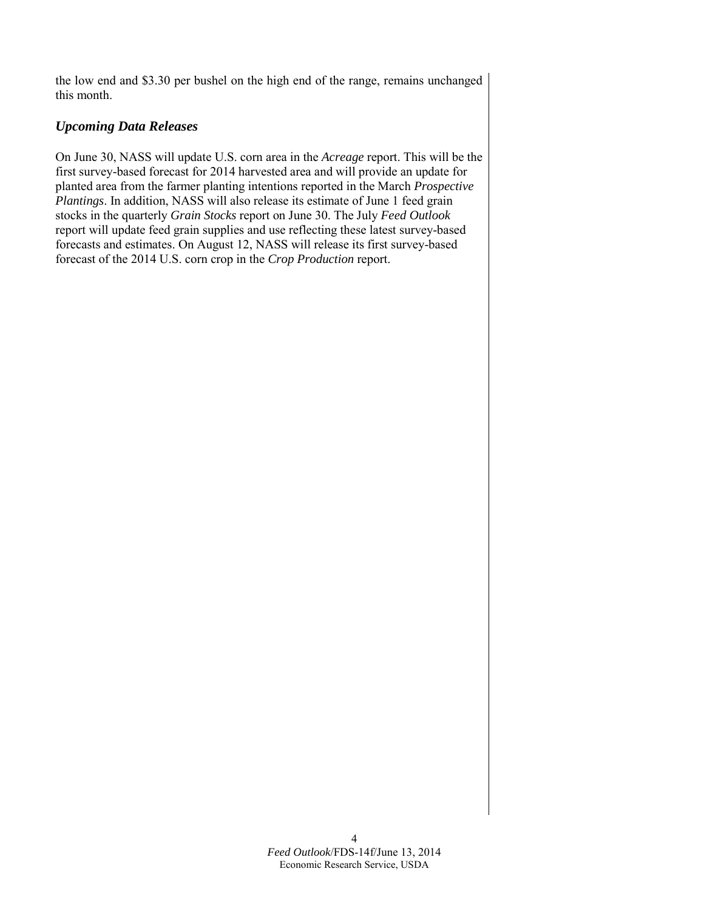the low end and \$3.30 per bushel on the high end of the range, remains unchanged this month.

## *Upcoming Data Releases*

On June 30, NASS will update U.S. corn area in the *Acreage* report. This will be the first survey-based forecast for 2014 harvested area and will provide an update for planted area from the farmer planting intentions reported in the March *Prospective Plantings*. In addition, NASS will also release its estimate of June 1 feed grain stocks in the quarterly *Grain Stocks* report on June 30. The July *Feed Outlook*  report will update feed grain supplies and use reflecting these latest survey-based forecasts and estimates. On August 12, NASS will release its first survey-based forecast of the 2014 U.S. corn crop in the *Crop Production* report.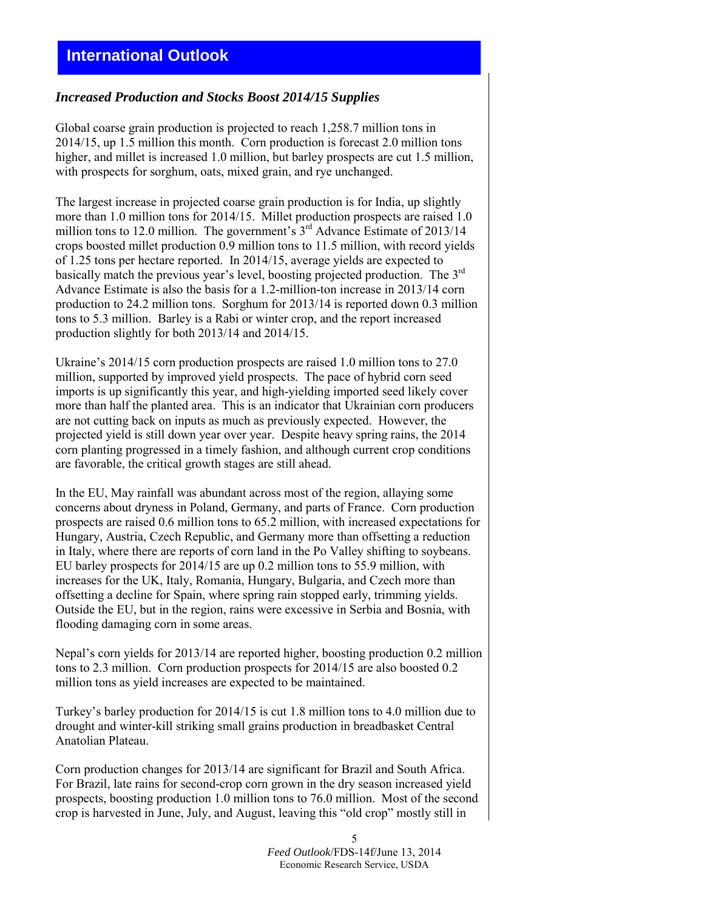# **International Outlook**

#### *Increased Production and Stocks Boost 2014/15 Supplies*

Global coarse grain production is projected to reach 1,258.7 million tons in 2014/15, up 1.5 million this month. Corn production is forecast 2.0 million tons higher, and millet is increased 1.0 million, but barley prospects are cut 1.5 million, with prospects for sorghum, oats, mixed grain, and rye unchanged.

The largest increase in projected coarse grain production is for India, up slightly more than 1.0 million tons for 2014/15. Millet production prospects are raised 1.0 million tons to 12.0 million. The government's  $3<sup>rd</sup>$  Advance Estimate of 2013/14 crops boosted millet production 0.9 million tons to 11.5 million, with record yields of 1.25 tons per hectare reported. In 2014/15, average yields are expected to basically match the previous year's level, boosting projected production. The 3rd Advance Estimate is also the basis for a 1.2-million-ton increase in 2013/14 corn production to 24.2 million tons. Sorghum for 2013/14 is reported down 0.3 million tons to 5.3 million. Barley is a Rabi or winter crop, and the report increased production slightly for both 2013/14 and 2014/15.

Ukraine's 2014/15 corn production prospects are raised 1.0 million tons to 27.0 million, supported by improved yield prospects. The pace of hybrid corn seed imports is up significantly this year, and high-yielding imported seed likely cover more than half the planted area. This is an indicator that Ukrainian corn producers are not cutting back on inputs as much as previously expected. However, the projected yield is still down year over year. Despite heavy spring rains, the 2014 corn planting progressed in a timely fashion, and although current crop conditions are favorable, the critical growth stages are still ahead.

In the EU, May rainfall was abundant across most of the region, allaying some concerns about dryness in Poland, Germany, and parts of France. Corn production prospects are raised 0.6 million tons to 65.2 million, with increased expectations for Hungary, Austria, Czech Republic, and Germany more than offsetting a reduction in Italy, where there are reports of corn land in the Po Valley shifting to soybeans. EU barley prospects for 2014/15 are up 0.2 million tons to 55.9 million, with increases for the UK, Italy, Romania, Hungary, Bulgaria, and Czech more than offsetting a decline for Spain, where spring rain stopped early, trimming yields. Outside the EU, but in the region, rains were excessive in Serbia and Bosnia, with flooding damaging corn in some areas.

Nepal's corn yields for 2013/14 are reported higher, boosting production 0.2 million tons to 2.3 million. Corn production prospects for 2014/15 are also boosted 0.2 million tons as yield increases are expected to be maintained.

Turkey's barley production for 2014/15 is cut 1.8 million tons to 4.0 million due to drought and winter-kill striking small grains production in breadbasket Central Anatolian Plateau.

Corn production changes for 2013/14 are significant for Brazil and South Africa. For Brazil, late rains for second-crop corn grown in the dry season increased yield prospects, boosting production 1.0 million tons to 76.0 million. Most of the second crop is harvested in June, July, and August, leaving this "old crop" mostly still in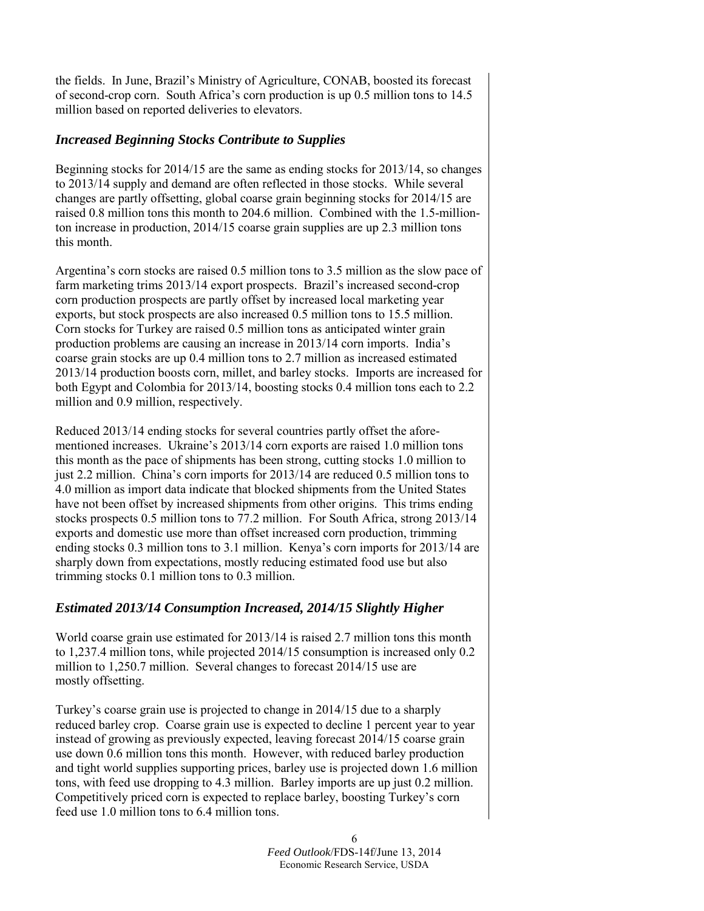the fields. In June, Brazil's Ministry of Agriculture, CONAB, boosted its forecast of second-crop corn. South Africa's corn production is up 0.5 million tons to 14.5 million based on reported deliveries to elevators.

## *Increased Beginning Stocks Contribute to Supplies*

Beginning stocks for 2014/15 are the same as ending stocks for 2013/14, so changes to 2013/14 supply and demand are often reflected in those stocks. While several changes are partly offsetting, global coarse grain beginning stocks for 2014/15 are raised 0.8 million tons this month to 204.6 million. Combined with the 1.5-millionton increase in production, 2014/15 coarse grain supplies are up 2.3 million tons this month.

Argentina's corn stocks are raised 0.5 million tons to 3.5 million as the slow pace of farm marketing trims 2013/14 export prospects. Brazil's increased second-crop corn production prospects are partly offset by increased local marketing year exports, but stock prospects are also increased 0.5 million tons to 15.5 million. Corn stocks for Turkey are raised 0.5 million tons as anticipated winter grain production problems are causing an increase in 2013/14 corn imports. India's coarse grain stocks are up 0.4 million tons to 2.7 million as increased estimated 2013/14 production boosts corn, millet, and barley stocks. Imports are increased for both Egypt and Colombia for 2013/14, boosting stocks 0.4 million tons each to 2.2 million and 0.9 million, respectively.

Reduced 2013/14 ending stocks for several countries partly offset the aforementioned increases. Ukraine's 2013/14 corn exports are raised 1.0 million tons this month as the pace of shipments has been strong, cutting stocks 1.0 million to just 2.2 million. China's corn imports for 2013/14 are reduced 0.5 million tons to 4.0 million as import data indicate that blocked shipments from the United States have not been offset by increased shipments from other origins. This trims ending stocks prospects 0.5 million tons to 77.2 million. For South Africa, strong 2013/14 exports and domestic use more than offset increased corn production, trimming ending stocks 0.3 million tons to 3.1 million. Kenya's corn imports for 2013/14 are sharply down from expectations, mostly reducing estimated food use but also trimming stocks 0.1 million tons to 0.3 million.

## *Estimated 2013/14 Consumption Increased, 2014/15 Slightly Higher*

World coarse grain use estimated for 2013/14 is raised 2.7 million tons this month to 1,237.4 million tons, while projected 2014/15 consumption is increased only 0.2 million to 1,250.7 million. Several changes to forecast 2014/15 use are mostly offsetting.

Turkey's coarse grain use is projected to change in 2014/15 due to a sharply reduced barley crop. Coarse grain use is expected to decline 1 percent year to year instead of growing as previously expected, leaving forecast 2014/15 coarse grain use down 0.6 million tons this month. However, with reduced barley production and tight world supplies supporting prices, barley use is projected down 1.6 million tons, with feed use dropping to 4.3 million. Barley imports are up just 0.2 million. Competitively priced corn is expected to replace barley, boosting Turkey's corn feed use 1.0 million tons to 6.4 million tons.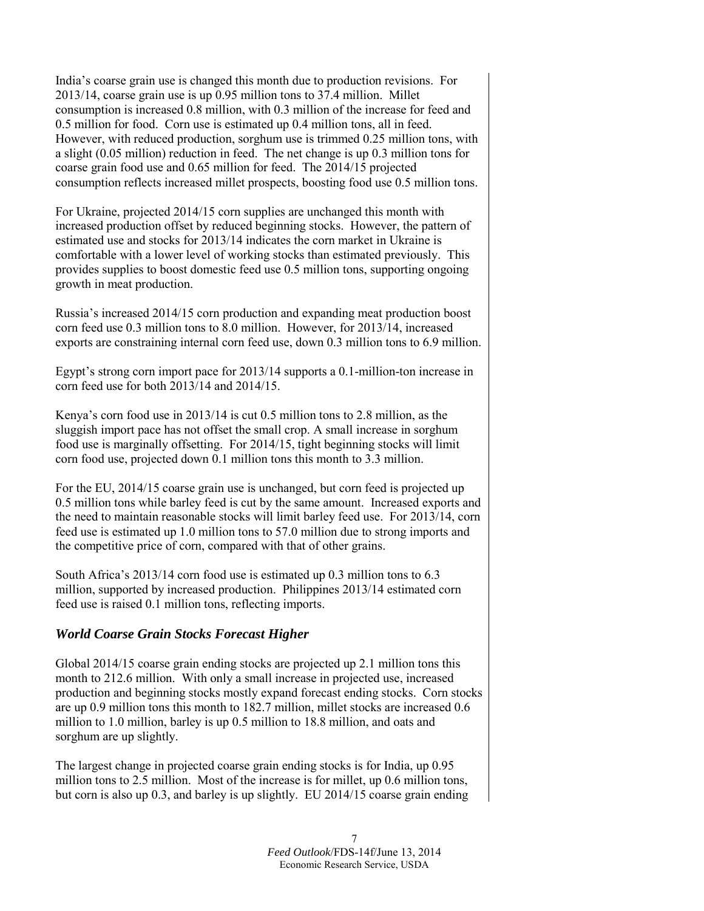India's coarse grain use is changed this month due to production revisions. For 2013/14, coarse grain use is up 0.95 million tons to 37.4 million. Millet consumption is increased 0.8 million, with 0.3 million of the increase for feed and 0.5 million for food. Corn use is estimated up 0.4 million tons, all in feed. However, with reduced production, sorghum use is trimmed 0.25 million tons, with a slight (0.05 million) reduction in feed. The net change is up 0.3 million tons for coarse grain food use and 0.65 million for feed. The 2014/15 projected consumption reflects increased millet prospects, boosting food use 0.5 million tons.

For Ukraine, projected 2014/15 corn supplies are unchanged this month with increased production offset by reduced beginning stocks. However, the pattern of estimated use and stocks for 2013/14 indicates the corn market in Ukraine is comfortable with a lower level of working stocks than estimated previously. This provides supplies to boost domestic feed use 0.5 million tons, supporting ongoing growth in meat production.

Russia's increased 2014/15 corn production and expanding meat production boost corn feed use 0.3 million tons to 8.0 million. However, for 2013/14, increased exports are constraining internal corn feed use, down 0.3 million tons to 6.9 million.

Egypt's strong corn import pace for 2013/14 supports a 0.1-million-ton increase in corn feed use for both 2013/14 and 2014/15.

Kenya's corn food use in 2013/14 is cut 0.5 million tons to 2.8 million, as the sluggish import pace has not offset the small crop. A small increase in sorghum food use is marginally offsetting. For 2014/15, tight beginning stocks will limit corn food use, projected down 0.1 million tons this month to 3.3 million.

For the EU, 2014/15 coarse grain use is unchanged, but corn feed is projected up 0.5 million tons while barley feed is cut by the same amount. Increased exports and the need to maintain reasonable stocks will limit barley feed use. For 2013/14, corn feed use is estimated up 1.0 million tons to 57.0 million due to strong imports and the competitive price of corn, compared with that of other grains.

South Africa's 2013/14 corn food use is estimated up 0.3 million tons to 6.3 million, supported by increased production. Philippines 2013/14 estimated corn feed use is raised 0.1 million tons, reflecting imports.

### *World Coarse Grain Stocks Forecast Higher*

Global 2014/15 coarse grain ending stocks are projected up 2.1 million tons this month to 212.6 million. With only a small increase in projected use, increased production and beginning stocks mostly expand forecast ending stocks. Corn stocks are up 0.9 million tons this month to 182.7 million, millet stocks are increased 0.6 million to 1.0 million, barley is up 0.5 million to 18.8 million, and oats and sorghum are up slightly.

The largest change in projected coarse grain ending stocks is for India, up 0.95 million tons to 2.5 million. Most of the increase is for millet, up 0.6 million tons, but corn is also up 0.3, and barley is up slightly. EU 2014/15 coarse grain ending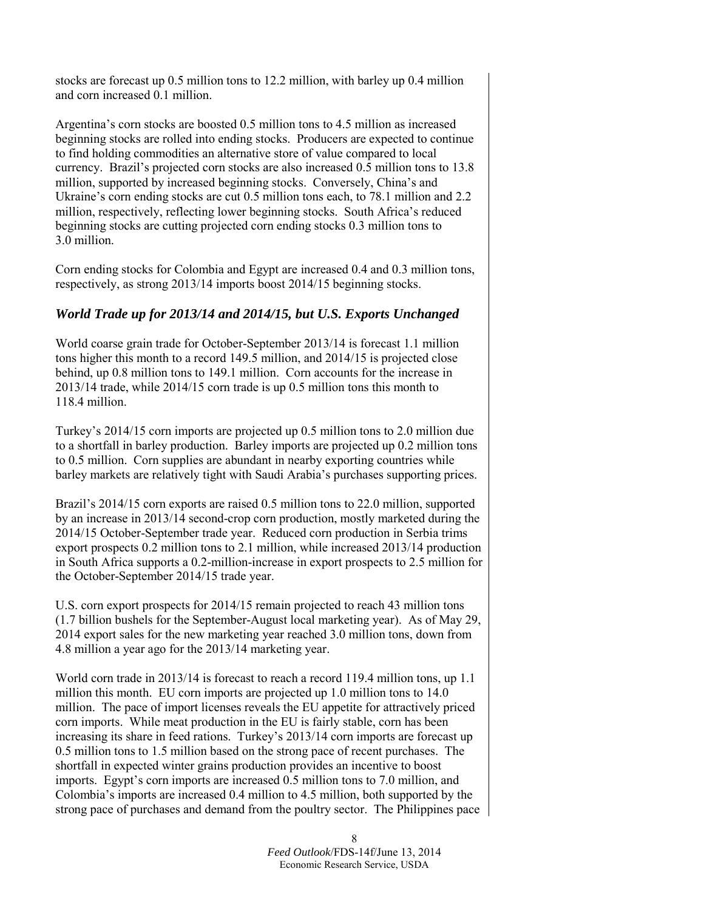stocks are forecast up 0.5 million tons to 12.2 million, with barley up 0.4 million and corn increased 0.1 million.

Argentina's corn stocks are boosted 0.5 million tons to 4.5 million as increased beginning stocks are rolled into ending stocks. Producers are expected to continue to find holding commodities an alternative store of value compared to local currency. Brazil's projected corn stocks are also increased 0.5 million tons to 13.8 million, supported by increased beginning stocks. Conversely, China's and Ukraine's corn ending stocks are cut 0.5 million tons each, to 78.1 million and 2.2 million, respectively, reflecting lower beginning stocks. South Africa's reduced beginning stocks are cutting projected corn ending stocks 0.3 million tons to 3.0 million.

Corn ending stocks for Colombia and Egypt are increased 0.4 and 0.3 million tons, respectively, as strong 2013/14 imports boost 2014/15 beginning stocks.

## *World Trade up for 2013/14 and 2014/15, but U.S. Exports Unchanged*

World coarse grain trade for October-September 2013/14 is forecast 1.1 million tons higher this month to a record 149.5 million, and 2014/15 is projected close behind, up 0.8 million tons to 149.1 million. Corn accounts for the increase in 2013/14 trade, while 2014/15 corn trade is up 0.5 million tons this month to 118.4 million.

Turkey's 2014/15 corn imports are projected up 0.5 million tons to 2.0 million due to a shortfall in barley production. Barley imports are projected up 0.2 million tons to 0.5 million. Corn supplies are abundant in nearby exporting countries while barley markets are relatively tight with Saudi Arabia's purchases supporting prices.

Brazil's 2014/15 corn exports are raised 0.5 million tons to 22.0 million, supported by an increase in 2013/14 second-crop corn production, mostly marketed during the 2014/15 October-September trade year. Reduced corn production in Serbia trims export prospects 0.2 million tons to 2.1 million, while increased 2013/14 production in South Africa supports a 0.2-million-increase in export prospects to 2.5 million for the October-September 2014/15 trade year.

U.S. corn export prospects for 2014/15 remain projected to reach 43 million tons (1.7 billion bushels for the September-August local marketing year). As of May 29, 2014 export sales for the new marketing year reached 3.0 million tons, down from 4.8 million a year ago for the 2013/14 marketing year.

World corn trade in 2013/14 is forecast to reach a record 119.4 million tons, up 1.1 million this month. EU corn imports are projected up 1.0 million tons to 14.0 million. The pace of import licenses reveals the EU appetite for attractively priced corn imports. While meat production in the EU is fairly stable, corn has been increasing its share in feed rations. Turkey's 2013/14 corn imports are forecast up 0.5 million tons to 1.5 million based on the strong pace of recent purchases. The shortfall in expected winter grains production provides an incentive to boost imports. Egypt's corn imports are increased 0.5 million tons to 7.0 million, and Colombia's imports are increased 0.4 million to 4.5 million, both supported by the strong pace of purchases and demand from the poultry sector. The Philippines pace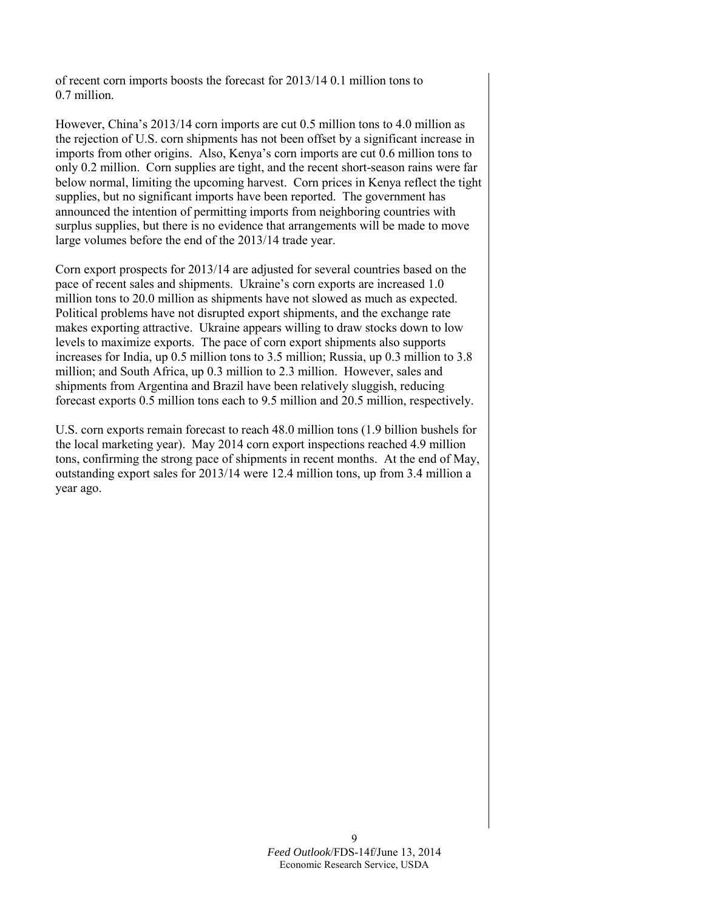of recent corn imports boosts the forecast for 2013/14 0.1 million tons to 0.7 million.

However, China's 2013/14 corn imports are cut 0.5 million tons to 4.0 million as the rejection of U.S. corn shipments has not been offset by a significant increase in imports from other origins. Also, Kenya's corn imports are cut 0.6 million tons to only 0.2 million. Corn supplies are tight, and the recent short-season rains were far below normal, limiting the upcoming harvest. Corn prices in Kenya reflect the tight supplies, but no significant imports have been reported. The government has announced the intention of permitting imports from neighboring countries with surplus supplies, but there is no evidence that arrangements will be made to move large volumes before the end of the 2013/14 trade year.

Corn export prospects for 2013/14 are adjusted for several countries based on the pace of recent sales and shipments. Ukraine's corn exports are increased 1.0 million tons to 20.0 million as shipments have not slowed as much as expected. Political problems have not disrupted export shipments, and the exchange rate makes exporting attractive. Ukraine appears willing to draw stocks down to low levels to maximize exports. The pace of corn export shipments also supports increases for India, up 0.5 million tons to 3.5 million; Russia, up 0.3 million to 3.8 million; and South Africa, up 0.3 million to 2.3 million. However, sales and shipments from Argentina and Brazil have been relatively sluggish, reducing forecast exports 0.5 million tons each to 9.5 million and 20.5 million, respectively.

U.S. corn exports remain forecast to reach 48.0 million tons (1.9 billion bushels for the local marketing year). May 2014 corn export inspections reached 4.9 million tons, confirming the strong pace of shipments in recent months. At the end of May, outstanding export sales for 2013/14 were 12.4 million tons, up from 3.4 million a year ago.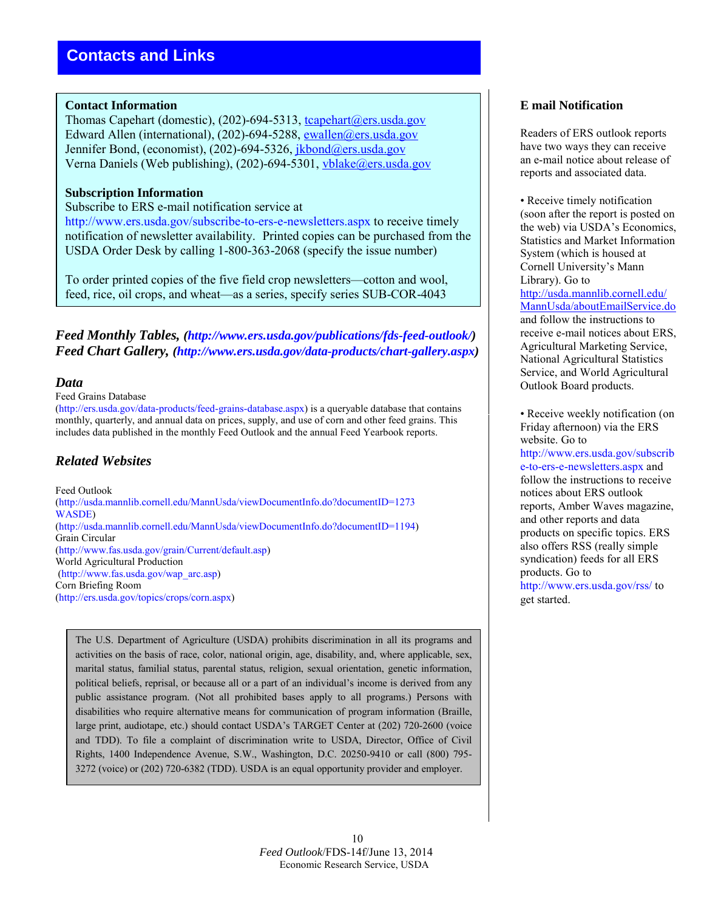#### **Contact Information**

Thomas Capehart (domestic), (202)-694-5313, tcapehart@ers.usda.gov Edward Allen (international), (202)-694-5288, [ewallen@ers.usda.gov](mailto:ewallen@ers.usda.gov) Jennifer Bond, (economist), (202)-694-5326, jkbond@ers.usda.gov Verna Daniels (Web publishing), (202)-694-5301, [vblake@ers.usda.gov](mailto:vblake@ers.usda.gov)

#### **Subscription Information**

#### Subscribe to ERS e-mail notification service at

http://www.ers.usda.gov/subscribe-to-ers-e-newsletters.aspx to receive timely notification of newsletter availability. Printed copies can be purchased from the USDA Order Desk by calling 1-800-363-2068 (specify the issue number)

To order printed copies of the five field crop newsletters—cotton and wool, feed, rice, oil crops, and wheat—as a series, specify series SUB-COR-4043

*Feed Monthly Tables, (http://www.ers.usda.gov/publications/fds-feed-outlook/) Feed Chart Gallery, (http://www.ers.usda.gov/data-products/chart-gallery.aspx)* 

#### *Data*

#### Feed Grains Database

(http://ers.usda.gov/data-products/feed-grains-database.aspx) is a queryable database that contains monthly, quarterly, and annual data on prices, supply, and use of corn and other feed grains. This includes data published in the monthly Feed Outlook and the annual Feed Yearbook reports.

## *Related Websites*

Feed Outlook (http://usda.mannlib.cornell.edu/MannUsda/viewDocumentInfo.do?documentID=1273 WASDE) (http://usda.mannlib.cornell.edu/MannUsda/viewDocumentInfo.do?documentID=1194) Grain Circular (http://www.fas.usda.gov/grain/Current/default.asp) World Agricultural Production (http://www.fas.usda.gov/wap\_arc.asp) Corn Briefing Room (http://ers.usda.gov/topics/crops/corn.aspx)

The U.S. Department of Agriculture (USDA) prohibits discrimination in all its programs and activities on the basis of race, color, national origin, age, disability, and, where applicable, sex, marital status, familial status, parental status, religion, sexual orientation, genetic information, political beliefs, reprisal, or because all or a part of an individual's income is derived from any public assistance program. (Not all prohibited bases apply to all programs.) Persons with disabilities who require alternative means for communication of program information (Braille, large print, audiotape, etc.) should contact USDA's TARGET Center at (202) 720-2600 (voice and TDD). To file a complaint of discrimination write to USDA, Director, Office of Civil Rights, 1400 Independence Avenue, S.W., Washington, D.C. 20250-9410 or call (800) 795- 3272 (voice) or (202) 720-6382 (TDD). USDA is an equal opportunity provider and employer.

## **E mail Notification**

Readers of ERS outlook reports have two ways they can receive an e-mail notice about release of reports and associated data.

• Receive timely notification (soon after the report is posted on the web) via USDA's Economics, Statistics and Market Information System (which is housed at Cornell University's Mann Library). Go to [http://usda.mannlib.cornell.edu/](http://usda.mannlib.cornell.edu/MannUsda/aboutEmailService.do) [MannUsda/aboutEmailService.do](http://usda.mannlib.cornell.edu/MannUsda/aboutEmailService.do) and follow the instructions to receive e-mail notices about ERS, Agricultural Marketing Service, National Agricultural Statistics Service, and World Agricultural Outlook Board products.

• Receive weekly notification (on Friday afternoon) via the ERS website. Go to http://www.ers.usda.gov/subscrib e-to-ers-e-newsletters.aspx and follow the instructions to receive notices about ERS outlook reports, Amber Waves magazine, and other reports and data products on specific topics. ERS also offers RSS (really simple syndication) feeds for all ERS products. Go to http://www.ers.usda.gov/rss/ to get started.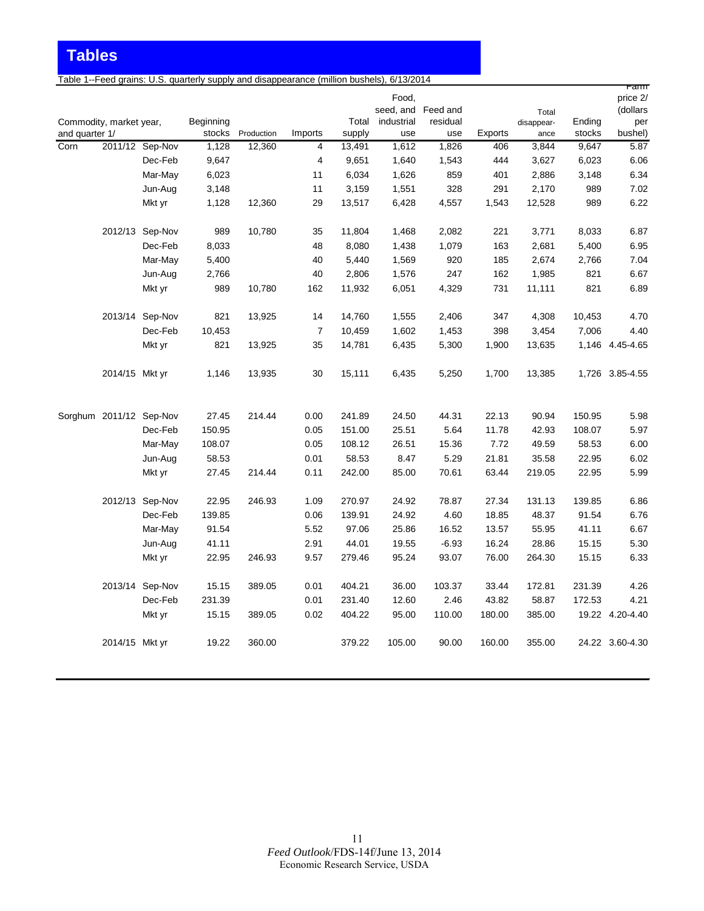**Tables**

Table 1--Feed grains: U.S. quarterly supply and disappearance (million bushels), 6/13/2014

|                |                         |                 |           |            |                |        |            |                    |         |                     |        | ram                  |
|----------------|-------------------------|-----------------|-----------|------------|----------------|--------|------------|--------------------|---------|---------------------|--------|----------------------|
|                |                         |                 |           |            |                |        | Food,      | seed, and Feed and |         |                     |        | price 2/<br>(dollars |
|                | Commodity, market year, |                 | Beginning |            |                | Total  | industrial | residual           |         | Total<br>disappear- | Ending | per                  |
| and quarter 1/ |                         |                 | stocks    | Production | Imports        | supply | use        | use                | Exports | ance                | stocks | bushel)              |
| Corn           |                         | 2011/12 Sep-Nov | 1,128     | 12,360     | 4              | 13,491 | 1,612      | 1,826              | 406     | 3,844               | 9,647  | 5.87                 |
|                |                         | Dec-Feb         | 9,647     |            | $\overline{4}$ | 9,651  | 1,640      | 1,543              | 444     | 3,627               | 6,023  | 6.06                 |
|                |                         | Mar-May         | 6,023     |            | 11             | 6,034  | 1,626      | 859                | 401     | 2,886               | 3,148  | 6.34                 |
|                |                         | Jun-Aug         | 3,148     |            | 11             | 3,159  | 1,551      | 328                | 291     | 2,170               | 989    | 7.02                 |
|                |                         | Mkt yr          | 1,128     | 12,360     | 29             | 13,517 | 6,428      | 4,557              | 1,543   | 12,528              | 989    | 6.22                 |
|                |                         | 2012/13 Sep-Nov | 989       | 10,780     | 35             | 11,804 | 1,468      | 2,082              | 221     | 3,771               | 8,033  | 6.87                 |
|                |                         | Dec-Feb         | 8,033     |            | 48             | 8,080  | 1,438      | 1,079              | 163     | 2,681               | 5,400  | 6.95                 |
|                |                         | Mar-May         | 5,400     |            | 40             | 5,440  | 1,569      | 920                | 185     | 2,674               | 2,766  | 7.04                 |
|                |                         | Jun-Aug         | 2,766     |            | 40             | 2,806  | 1,576      | 247                | 162     | 1,985               | 821    | 6.67                 |
|                |                         | Mkt yr          | 989       | 10,780     | 162            | 11,932 | 6,051      | 4,329              | 731     | 11,111              | 821    | 6.89                 |
|                |                         | 2013/14 Sep-Nov | 821       | 13,925     | 14             | 14,760 | 1,555      | 2,406              | 347     | 4,308               | 10,453 | 4.70                 |
|                |                         | Dec-Feb         | 10,453    |            | $\overline{7}$ | 10,459 | 1,602      | 1,453              | 398     | 3,454               | 7,006  | 4.40                 |
|                |                         | Mkt yr          | 821       | 13,925     | 35             | 14,781 | 6,435      | 5,300              | 1,900   | 13,635              |        | 1,146 4.45-4.65      |
|                | 2014/15 Mkt yr          |                 | 1,146     | 13,935     | 30             | 15,111 | 6,435      | 5,250              | 1,700   | 13,385              |        | 1,726 3.85-4.55      |
|                | Sorghum 2011/12 Sep-Nov |                 | 27.45     | 214.44     | 0.00           | 241.89 | 24.50      | 44.31              | 22.13   | 90.94               | 150.95 | 5.98                 |
|                |                         | Dec-Feb         | 150.95    |            | 0.05           | 151.00 | 25.51      | 5.64               | 11.78   | 42.93               | 108.07 | 5.97                 |
|                |                         | Mar-May         | 108.07    |            | 0.05           | 108.12 | 26.51      | 15.36              | 7.72    | 49.59               | 58.53  | 6.00                 |
|                |                         | Jun-Aug         | 58.53     |            | 0.01           | 58.53  | 8.47       | 5.29               | 21.81   | 35.58               | 22.95  | 6.02                 |
|                |                         | Mkt yr          | 27.45     | 214.44     | 0.11           | 242.00 | 85.00      | 70.61              | 63.44   | 219.05              | 22.95  | 5.99                 |
|                |                         | 2012/13 Sep-Nov | 22.95     | 246.93     | 1.09           | 270.97 | 24.92      | 78.87              | 27.34   | 131.13              | 139.85 | 6.86                 |
|                |                         | Dec-Feb         | 139.85    |            | 0.06           | 139.91 | 24.92      | 4.60               | 18.85   | 48.37               | 91.54  | 6.76                 |
|                |                         | Mar-May         | 91.54     |            | 5.52           | 97.06  | 25.86      | 16.52              | 13.57   | 55.95               | 41.11  | 6.67                 |
|                |                         | Jun-Aug         | 41.11     |            | 2.91           | 44.01  | 19.55      | $-6.93$            | 16.24   | 28.86               | 15.15  | 5.30                 |
|                |                         | Mkt yr          | 22.95     | 246.93     | 9.57           | 279.46 | 95.24      | 93.07              | 76.00   | 264.30              | 15.15  | 6.33                 |
|                |                         | 2013/14 Sep-Nov | 15.15     | 389.05     | 0.01           | 404.21 | 36.00      | 103.37             | 33.44   | 172.81              | 231.39 | 4.26                 |
|                |                         | Dec-Feb         | 231.39    |            | 0.01           | 231.40 | 12.60      | 2.46               | 43.82   | 58.87               | 172.53 | 4.21                 |
|                |                         | Mkt yr          | 15.15     | 389.05     | 0.02           | 404.22 | 95.00      | 110.00             | 180.00  | 385.00              |        | 19.22 4.20-4.40      |
|                | 2014/15 Mkt yr          |                 | 19.22     | 360.00     |                | 379.22 | 105.00     | 90.00              | 160.00  | 355.00              |        | 24.22 3.60-4.30      |
|                |                         |                 |           |            |                |        |            |                    |         |                     |        |                      |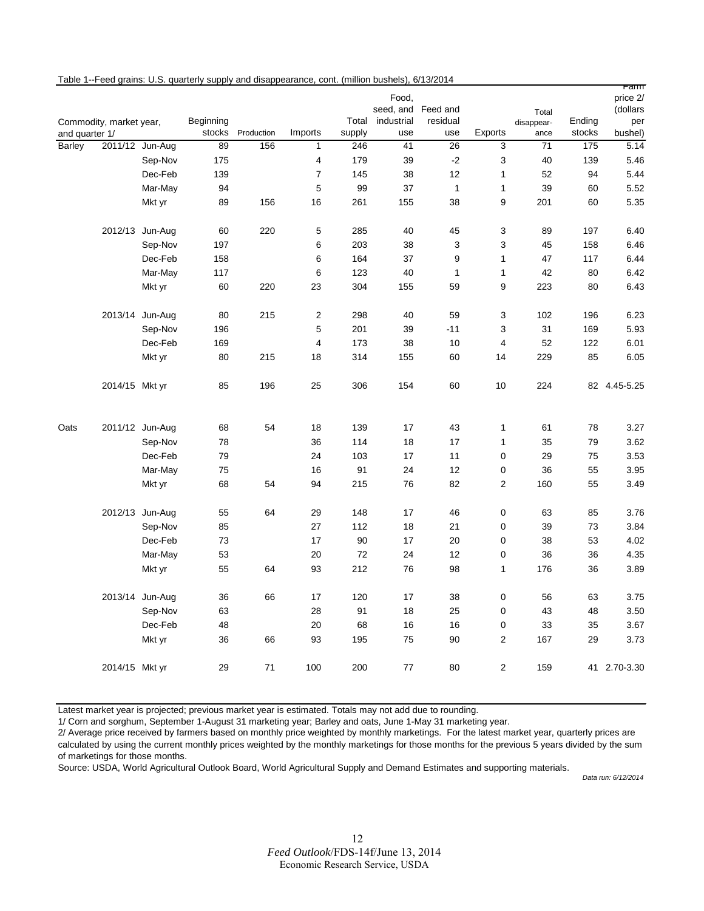|  |  | Table 1--Feed grains: U.S. quarterly supply and disappearance, cont. (million bushels), 6/13/2014 |  |  |
|--|--|---------------------------------------------------------------------------------------------------|--|--|
|--|--|---------------------------------------------------------------------------------------------------|--|--|

|                |                         |                 |           |            |                         |        | Food,<br>seed, and Feed and |              |                         |                     |        | <u>ramm</u><br>price 2/<br>(dollars |
|----------------|-------------------------|-----------------|-----------|------------|-------------------------|--------|-----------------------------|--------------|-------------------------|---------------------|--------|-------------------------------------|
|                | Commodity, market year, |                 | Beginning |            |                         | Total  | industrial                  | residual     |                         | Total<br>disappear- | Ending | per                                 |
| and quarter 1/ |                         |                 | stocks    | Production | Imports                 | supply | use                         | use          | Exports                 | ance                | stocks | bushel)                             |
| Barley         |                         | 2011/12 Jun-Aug | 89        | 156        | $\mathbf{1}$            | 246    | 41                          | 26           | 3                       | 71                  | 175    | 5.14                                |
|                |                         | Sep-Nov         | 175       |            | $\overline{\mathbf{4}}$ | 179    | 39                          | $-2$         | 3                       | 40                  | 139    | 5.46                                |
|                |                         | Dec-Feb         | 139       |            | $\overline{7}$          | 145    | 38                          | 12           | $\mathbf{1}$            | 52                  | 94     | 5.44                                |
|                |                         | Mar-May         | 94        |            | 5                       | 99     | 37                          | $\mathbf{1}$ | $\mathbf{1}$            | 39                  | 60     | 5.52                                |
|                |                         | Mkt yr          | 89        | 156        | 16                      | 261    | 155                         | 38           | 9                       | 201                 | 60     | 5.35                                |
|                |                         | 2012/13 Jun-Aug | 60        | 220        | $\mathbf 5$             | 285    | 40                          | 45           | 3                       | 89                  | 197    | 6.40                                |
|                |                         | Sep-Nov         | 197       |            | 6                       | 203    | 38                          | 3            | 3                       | 45                  | 158    | 6.46                                |
|                |                         | Dec-Feb         | 158       |            | 6                       | 164    | 37                          | 9            | $\mathbf{1}$            | 47                  | 117    | 6.44                                |
|                |                         | Mar-May         | 117       |            | 6                       | 123    | 40                          | $\mathbf{1}$ | $\mathbf{1}$            | 42                  | 80     | 6.42                                |
|                |                         | Mkt yr          | 60        | 220        | 23                      | 304    | 155                         | 59           | 9                       | 223                 | 80     | 6.43                                |
|                |                         | 2013/14 Jun-Aug | 80        | 215        | $\boldsymbol{2}$        | 298    | 40                          | 59           | 3                       | 102                 | 196    | 6.23                                |
|                |                         | Sep-Nov         | 196       |            | $\mathbf 5$             | 201    | 39                          | $-11$        | 3                       | 31                  | 169    | 5.93                                |
|                |                         | Dec-Feb         | 169       |            | $\overline{4}$          | 173    | 38                          | 10           | $\overline{\mathbf{4}}$ | 52                  | 122    | 6.01                                |
|                |                         | Mkt yr          | 80        | 215        | 18                      | 314    | 155                         | 60           | 14                      | 229                 | 85     | 6.05                                |
|                | 2014/15 Mkt yr          |                 | 85        | 196        | 25                      | 306    | 154                         | 60           | 10                      | 224                 |        | 82 4.45-5.25                        |
| Oats           |                         | 2011/12 Jun-Aug | 68        | 54         | 18                      | 139    | 17                          | 43           | $\mathbf{1}$            | 61                  | 78     | 3.27                                |
|                |                         | Sep-Nov         | 78        |            | 36                      | 114    | 18                          | 17           | $\mathbf{1}$            | 35                  | 79     | 3.62                                |
|                |                         | Dec-Feb         | 79        |            | 24                      | 103    | 17                          | 11           | $\mathbf 0$             | 29                  | 75     | 3.53                                |
|                |                         | Mar-May         | 75        |            | 16                      | 91     | 24                          | 12           | 0                       | 36                  | 55     | 3.95                                |
|                |                         | Mkt yr          | 68        | 54         | 94                      | 215    | 76                          | 82           | $\overline{2}$          | 160                 | 55     | 3.49                                |
|                |                         | 2012/13 Jun-Aug | 55        | 64         | 29                      | 148    | 17                          | 46           | $\pmb{0}$               | 63                  | 85     | 3.76                                |
|                |                         | Sep-Nov         | 85        |            | 27                      | 112    | 18                          | 21           | $\mathbf 0$             | 39                  | 73     | 3.84                                |
|                |                         | Dec-Feb         | 73        |            | 17                      | 90     | 17                          | 20           | 0                       | 38                  | 53     | 4.02                                |
|                |                         | Mar-May         | 53        |            | 20                      | 72     | 24                          | 12           | 0                       | 36                  | 36     | 4.35                                |
|                |                         | Mkt yr          | 55        | 64         | 93                      | 212    | 76                          | 98           | $\mathbf{1}$            | 176                 | 36     | 3.89                                |
|                |                         | 2013/14 Jun-Aug | 36        | 66         | 17                      | 120    | 17                          | 38           | $\pmb{0}$               | 56                  | 63     | 3.75                                |
|                |                         | Sep-Nov         | 63        |            | 28                      | 91     | 18                          | 25           | $\mathbf 0$             | 43                  | 48     | 3.50                                |
|                |                         | Dec-Feb         | 48        |            | 20                      | 68     | 16                          | 16           | $\mathbf 0$             | 33                  | 35     | 3.67                                |
|                |                         | Mkt yr          | 36        | 66         | 93                      | 195    | 75                          | 90           | $\overline{2}$          | 167                 | 29     | 3.73                                |
|                | 2014/15 Mkt yr          |                 | 29        | 71         | 100                     | 200    | 77                          | 80           | $\overline{2}$          | 159                 |        | 41 2.70-3.30                        |

Latest market year is projected; previous market year is estimated. Totals may not add due to rounding.

1/ Corn and sorghum, September 1-August 31 marketing year; Barley and oats, June 1-May 31 marketing year.

2/ Average price received by farmers based on monthly price weighted by monthly marketings. For the latest market year, quarterly prices are calculated by using the current monthly prices weighted by the monthly marketings for those months for the previous 5 years divided by the sum of marketings for those months.

Source: USDA, World Agricultural Outlook Board, World Agricultural Supply and Demand Estimates and supporting materials.

*Data run: 6/12/2014*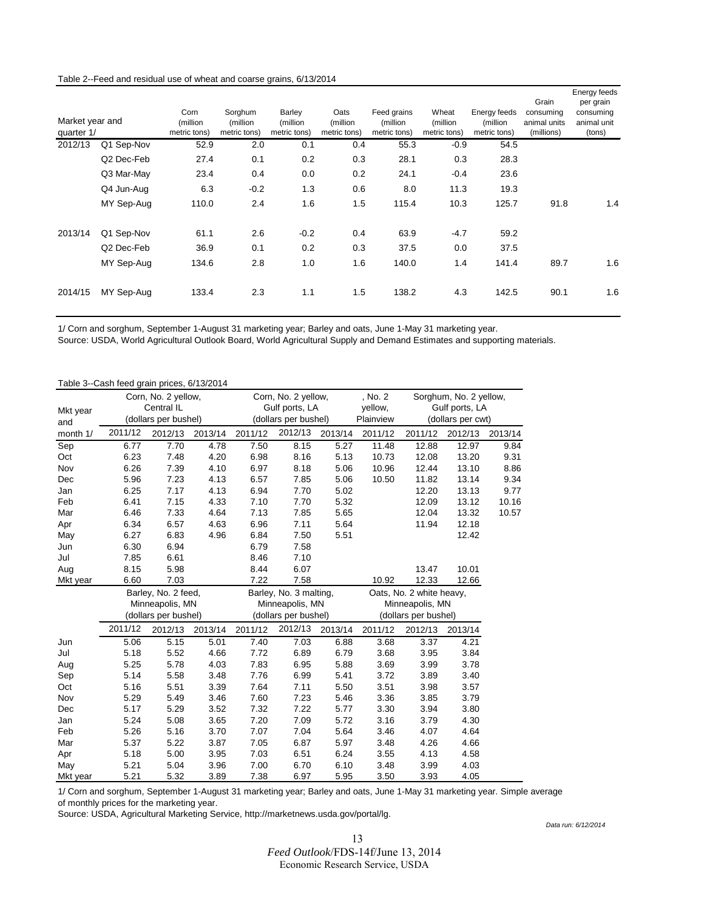#### Table 2--Feed and residual use of wheat and coarse grains, 6/13/2014

| Market year and<br>quarter 1/ |                        | Corn<br>(million<br>metric tons) | Sorghum<br>(million)<br>metric tons) | Barley<br>(million<br>metric tons) | Oats<br>(million<br>metric tons) | Feed grains<br>(million)<br>metric tons) | Wheat<br>(million<br>metric tons) | Energy feeds<br>(million)<br>metric tons) | Grain<br>consumina<br>animal units<br>(millions) | Energy feeds<br>per grain<br>consuming<br>animal unit<br>(tons) |
|-------------------------------|------------------------|----------------------------------|--------------------------------------|------------------------------------|----------------------------------|------------------------------------------|-----------------------------------|-------------------------------------------|--------------------------------------------------|-----------------------------------------------------------------|
| 2012/13                       | Q1 Sep-Nov             | 52.9                             | 2.0                                  | 0.1                                | 0.4                              | 55.3                                     | $-0.9$                            | 54.5                                      |                                                  |                                                                 |
|                               | Q <sub>2</sub> Dec-Feb | 27.4                             | 0.1                                  | 0.2                                | 0.3                              | 28.1                                     | 0.3                               | 28.3                                      |                                                  |                                                                 |
|                               | Q3 Mar-May             | 23.4                             | 0.4                                  | 0.0                                | 0.2                              | 24.1                                     | $-0.4$                            | 23.6                                      |                                                  |                                                                 |
|                               | Q4 Jun-Aug             | 6.3                              | $-0.2$                               | 1.3                                | 0.6                              | 8.0                                      | 11.3                              | 19.3                                      |                                                  |                                                                 |
|                               | MY Sep-Aug             | 110.0                            | 2.4                                  | 1.6                                | 1.5                              | 115.4                                    | 10.3                              | 125.7                                     | 91.8                                             | 1.4                                                             |
| 2013/14                       | Q1 Sep-Nov             | 61.1                             | 2.6                                  | $-0.2$                             | 0.4                              | 63.9                                     | $-4.7$                            | 59.2                                      |                                                  |                                                                 |
|                               | Q <sub>2</sub> Dec-Feb | 36.9                             | 0.1                                  | 0.2                                | 0.3                              | 37.5                                     | 0.0                               | 37.5                                      |                                                  |                                                                 |
|                               | MY Sep-Aug             | 134.6                            | 2.8                                  | 1.0                                | 1.6                              | 140.0                                    | 1.4                               | 141.4                                     | 89.7                                             | 1.6                                                             |
| 2014/15                       | MY Sep-Aug             | 133.4                            | 2.3                                  | 1.1                                | 1.5                              | 138.2                                    | 4.3                               | 142.5                                     | 90.1                                             | 1.6                                                             |

1/ Corn and sorghum, September 1-August 31 marketing year; Barley and oats, June 1-May 31 marketing year.

Source: USDA, World Agricultural Outlook Board, World Agricultural Supply and Demand Estimates and supporting materials.

| Table 3--Cash feed grain prices, 6/13/2014 |  |  |  |
|--------------------------------------------|--|--|--|
|--------------------------------------------|--|--|--|

|          | Table 3--Cash reed grain prices, 6/13/2014 |                      |         |         |                        |         |                                   |                          |                   |         |
|----------|--------------------------------------------|----------------------|---------|---------|------------------------|---------|-----------------------------------|--------------------------|-------------------|---------|
|          |                                            | Corn, No. 2 yellow,  |         |         | Corn, No. 2 yellow,    |         | , No. 2<br>Sorghum, No. 2 yellow, |                          |                   |         |
| Mkt year |                                            | Central IL           |         |         | Gulf ports, LA         |         | yellow,                           |                          | Gulf ports, LA    |         |
| and      |                                            | (dollars per bushel) |         |         | (dollars per bushel)   |         | Plainview                         |                          | (dollars per cwt) |         |
| month 1/ | 2011/12                                    | 2012/13              | 2013/14 | 2011/12 | 2012/13                | 2013/14 | 2011/12                           | 2011/12                  | 2012/13           | 2013/14 |
| Sep      | 6.77                                       | 7.70                 | 4.78    | 7.50    | 8.15                   | 5.27    | 11.48                             | 12.88                    | 12.97             | 9.84    |
| Oct      | 6.23                                       | 7.48                 | 4.20    | 6.98    | 8.16                   | 5.13    | 10.73                             | 12.08                    | 13.20             | 9.31    |
| Nov      | 6.26                                       | 7.39                 | 4.10    | 6.97    | 8.18                   | 5.06    | 10.96                             | 12.44                    | 13.10             | 8.86    |
| Dec      | 5.96                                       | 7.23                 | 4.13    | 6.57    | 7.85                   | 5.06    | 10.50                             | 11.82                    | 13.14             | 9.34    |
| Jan      | 6.25                                       | 7.17                 | 4.13    | 6.94    | 7.70                   | 5.02    |                                   | 12.20                    | 13.13             | 9.77    |
| Feb      | 6.41                                       | 7.15                 | 4.33    | 7.10    | 7.70                   | 5.32    |                                   | 12.09                    | 13.12             | 10.16   |
| Mar      | 6.46                                       | 7.33                 | 4.64    | 7.13    | 7.85                   | 5.65    |                                   | 12.04                    | 13.32             | 10.57   |
| Apr      | 6.34                                       | 6.57                 | 4.63    | 6.96    | 7.11                   | 5.64    |                                   | 11.94                    | 12.18             |         |
| May      | 6.27                                       | 6.83                 | 4.96    | 6.84    | 7.50                   | 5.51    |                                   |                          | 12.42             |         |
| Jun      | 6.30                                       | 6.94                 |         | 6.79    | 7.58                   |         |                                   |                          |                   |         |
| Jul      | 7.85                                       | 6.61                 |         | 8.46    | 7.10                   |         |                                   |                          |                   |         |
| Aug      | 8.15                                       | 5.98                 |         | 8.44    | 6.07                   |         |                                   | 13.47                    | 10.01             |         |
| Mkt year | 6.60                                       | 7.03                 |         | 7.22    | 7.58                   |         | 10.92                             | 12.33                    | 12.66             |         |
|          |                                            | Barley, No. 2 feed,  |         |         | Barley, No. 3 malting, |         |                                   | Oats, No. 2 white heavy, |                   |         |
|          |                                            | Minneapolis, MN      |         |         | Minneapolis, MN        |         |                                   | Minneapolis, MN          |                   |         |
|          |                                            | (dollars per bushel) |         |         | (dollars per bushel)   |         | (dollars per bushel)              |                          |                   |         |
|          | 2011/12                                    | 2012/13              | 2013/14 | 2011/12 | 2012/13                | 2013/14 | 2011/12                           | 2012/13                  | 2013/14           |         |
| Jun      | 5.06                                       | 5.15                 | 5.01    | 7.40    | 7.03                   | 6.88    | 3.68                              | 3.37                     | 4.21              |         |
| Jul      | 5.18                                       | 5.52                 | 4.66    | 7.72    | 6.89                   | 6.79    | 3.68                              | 3.95                     | 3.84              |         |
| Aug      | 5.25                                       | 5.78                 | 4.03    | 7.83    | 6.95                   | 5.88    | 3.69                              | 3.99                     | 3.78              |         |
| Sep      | 5.14                                       | 5.58                 | 3.48    | 7.76    | 6.99                   | 5.41    | 3.72                              | 3.89                     | 3.40              |         |
| Oct      | 5.16                                       | 5.51                 | 3.39    | 7.64    | 7.11                   | 5.50    | 3.51                              | 3.98                     | 3.57              |         |
| Nov      | 5.29                                       | 5.49                 | 3.46    | 7.60    | 7.23                   | 5.46    | 3.36                              | 3.85                     | 3.79              |         |
| Dec      | 5.17                                       | 5.29                 | 3.52    | 7.32    | 7.22                   | 5.77    | 3.30                              | 3.94                     | 3.80              |         |
| Jan      | 5.24                                       | 5.08                 | 3.65    | 7.20    | 7.09                   | 5.72    | 3.16                              | 3.79                     | 4.30              |         |
| Feb      | 5.26                                       | 5.16                 | 3.70    | 7.07    | 7.04                   | 5.64    | 3.46                              | 4.07                     | 4.64              |         |
| Mar      | 5.37                                       | 5.22                 | 3.87    | 7.05    | 6.87                   | 5.97    | 3.48                              | 4.26                     | 4.66              |         |
| Apr      | 5.18                                       | 5.00                 | 3.95    | 7.03    | 6.51                   | 6.24    | 3.55                              | 4.13                     | 4.58              |         |
| May      | 5.21                                       | 5.04                 | 3.96    | 7.00    | 6.70                   | 6.10    | 3.48                              | 3.99                     | 4.03              |         |
| Mkt year | 5.21                                       | 5.32                 | 3.89    | 7.38    | 6.97                   | 5.95    | 3.50                              | 3.93                     | 4.05              |         |

1/ Corn and sorghum, September 1-August 31 marketing year; Barley and oats, June 1-May 31 marketing year. Simple average of monthly prices for the marketing year.

Source: USDA, Agricultural Marketing Service, http://marketnews.usda.gov/portal/lg.

*Data run: 6/12/2014*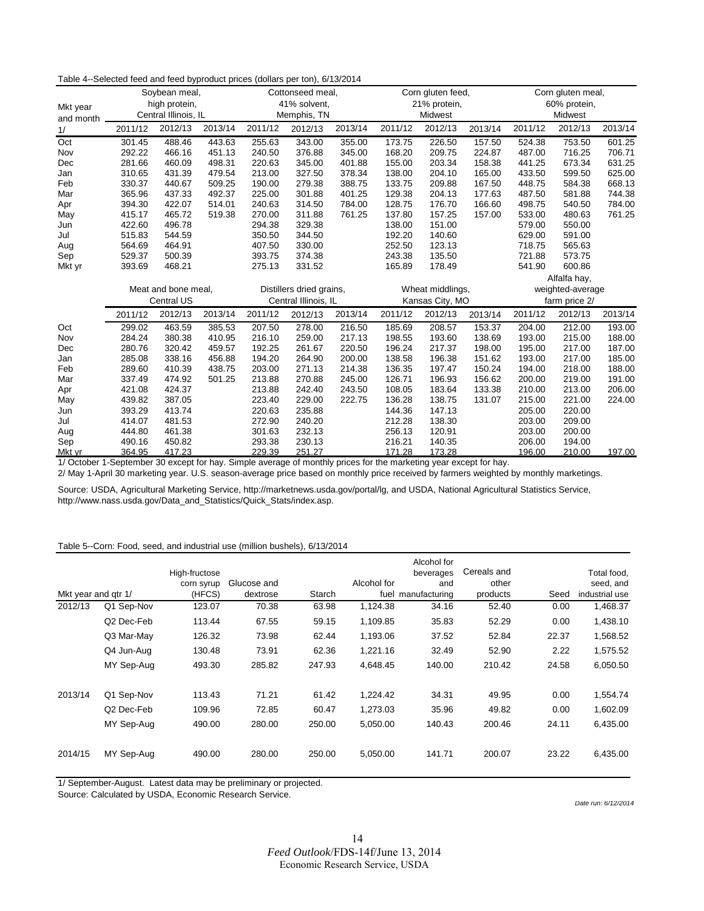| Table 4--Selected feed and feed byproduct prices (dollars per ton), 6/13/2014 |  |
|-------------------------------------------------------------------------------|--|
|-------------------------------------------------------------------------------|--|

| Mkt year<br>and month |         | Soybean meal,<br>high protein,<br>Central Illinois, IL |         |                      | Cottonseed meal,<br>41% solvent,<br>Memphis, TN |         |                 | Corn gluten feed,<br>21% protein,<br>Midwest |         |         | Corn gluten meal,<br>60% protein,<br>Midwest |         |
|-----------------------|---------|--------------------------------------------------------|---------|----------------------|-------------------------------------------------|---------|-----------------|----------------------------------------------|---------|---------|----------------------------------------------|---------|
| 1/                    | 2011/12 | 2012/13                                                | 2013/14 | 2011/12              | 2012/13                                         | 2013/14 | 2011/12         | 2012/13                                      | 2013/14 | 2011/12 | 2012/13                                      | 2013/14 |
| Oct                   | 301.45  | 488.46                                                 | 443.63  | 255.63               | 343.00                                          | 355.00  | 173.75          | 226.50                                       | 157.50  | 524.38  | 753.50                                       | 601.25  |
| Nov                   | 292.22  | 466.16                                                 | 451.13  | 240.50               | 376.88                                          | 345.00  | 168.20          | 209.75                                       | 224.87  | 487.00  | 716.25                                       | 706.71  |
| Dec                   | 281.66  | 460.09                                                 | 498.31  | 220.63               | 345.00                                          | 401.88  | 155.00          | 203.34                                       | 158.38  | 441.25  | 673.34                                       | 631.25  |
| Jan                   | 310.65  | 431.39                                                 | 479.54  | 213.00               | 327.50                                          | 378.34  | 138.00          | 204.10                                       | 165.00  | 433.50  | 599.50                                       | 625.00  |
| Feb                   | 330.37  | 440.67                                                 | 509.25  | 190.00               | 279.38                                          | 388.75  | 133.75          | 209.88                                       | 167.50  | 448.75  | 584.38                                       | 668.13  |
| Mar                   | 365.96  | 437.33                                                 | 492.37  | 225.00               | 301.88                                          | 401.25  | 129.38          | 204.13                                       | 177.63  | 487.50  | 581.88                                       | 744.38  |
| Apr                   | 394.30  | 422.07                                                 | 514.01  | 240.63               | 314.50                                          | 784.00  | 128.75          | 176.70                                       | 166.60  | 498.75  | 540.50                                       | 784.00  |
| May                   | 415.17  | 465.72                                                 | 519.38  | 270.00               | 311.88                                          | 761.25  | 137.80          | 157.25                                       | 157.00  | 533.00  | 480.63                                       | 761.25  |
| Jun                   | 422.60  | 496.78                                                 |         | 294.38               | 329.38                                          |         | 138.00          | 151.00                                       |         | 579.00  | 550.00                                       |         |
| Jul                   | 515.83  | 544.59                                                 |         | 350.50               | 344.50                                          |         | 192.20          | 140.60                                       |         | 629.00  | 591.00                                       |         |
| Aug                   | 564.69  | 464.91                                                 |         | 407.50               | 330.00                                          |         | 252.50          | 123.13                                       |         | 718.75  | 565.63                                       |         |
| Sep                   | 529.37  | 500.39                                                 |         | 393.75               | 374.38                                          |         | 243.38          | 135.50                                       |         | 721.88  | 573.75                                       |         |
| Mkt yr                | 393.69  | 468.21                                                 |         | 275.13               | 331.52                                          |         | 165.89          | 178.49                                       |         | 541.90  | 600.86                                       |         |
|                       |         |                                                        |         |                      |                                                 |         |                 |                                              |         |         | Alfalfa hay,                                 |         |
|                       |         | Meat and bone meal,                                    |         |                      | Distillers dried grains,                        |         |                 | Wheat middlings,                             |         |         | weighted-average                             |         |
|                       |         | <b>Central US</b>                                      |         | Central Illinois, IL |                                                 |         | Kansas City, MO |                                              |         |         | farm price 2/                                |         |
|                       | 2011/12 | 2012/13                                                | 2013/14 | 2011/12              | 2012/13                                         | 2013/14 | 2011/12         | 2012/13                                      | 2013/14 | 2011/12 | 2012/13                                      | 2013/14 |
| Oct                   | 299.02  | 463.59                                                 | 385.53  | 207.50               | 278.00                                          | 216.50  | 185.69          | 208.57                                       | 153.37  | 204.00  | 212.00                                       | 193.00  |
| Nov                   | 284.24  | 380.38                                                 | 410.95  | 216.10               | 259.00                                          | 217.13  | 198.55          | 193.60                                       | 138.69  | 193.00  | 215.00                                       | 188.00  |
| Dec                   | 280.76  | 320.42                                                 | 459.57  | 192.25               | 261.67                                          | 220.50  | 196.24          | 217.37                                       | 198.00  | 195.00  | 217.00                                       | 187.00  |
| Jan                   | 285.08  | 338.16                                                 | 456.88  | 194.20               | 264.90                                          | 200.00  | 138.58          | 196.38                                       | 151.62  | 193.00  | 217.00                                       | 185.00  |
| Feb                   | 289.60  | 410.39                                                 | 438.75  | 203.00               | 271.13                                          | 214.38  | 136.35          | 197.47                                       | 150.24  | 194.00  | 218.00                                       | 188.00  |
| Mar                   | 337.49  | 474.92                                                 | 501.25  | 213.88               | 270.88                                          | 245.00  | 126.71          | 196.93                                       | 156.62  | 200.00  | 219.00                                       | 191.00  |
| Apr                   | 421.08  | 424.37                                                 |         | 213.88               | 242.40                                          | 243.50  | 108.05          | 183.64                                       | 133.38  | 210.00  | 213.00                                       | 206.00  |
| May                   | 439.82  | 387.05                                                 |         | 223.40               | 229.00                                          | 222.75  | 136.28          | 138.75                                       | 131.07  | 215.00  | 221.00                                       | 224.00  |
| Jun                   | 393.29  | 413.74                                                 |         | 220.63               | 235.88                                          |         | 144.36          | 147.13                                       |         | 205.00  | 220.00                                       |         |
| Jul                   | 414.07  | 481.53                                                 |         | 272.90               | 240.20                                          |         | 212.28          | 138.30                                       |         | 203.00  | 209.00                                       |         |
| Aug                   | 444.80  | 461.38                                                 |         | 301.63               | 232.13                                          |         | 256.13          | 120.91                                       |         | 203.00  | 200.00                                       |         |
| Sep                   | 490.16  | 450.82                                                 |         | 293.38               | 230.13                                          |         | 216.21          | 140.35                                       |         | 206.00  | 194.00                                       |         |
| Mkt yr                | 364.95  | 417.23                                                 |         | 229.39               | 251.27                                          |         | 171.28          | 173.28                                       |         | 196.00  | 210.00                                       | 197.00  |

1/ October 1-September 30 except for hay. Simple average of monthly prices for the marketing year except for hay.

2/ May 1-April 30 marketing year. U.S. season-average price based on monthly price received by farmers weighted by monthly marketings.

Source: USDA, Agricultural Marketing Service, http://marketnews.usda.gov/portal/lg, and USDA, National Agricultural Statistics Service, http://www.nass.usda.gov/Data\_and\_Statistics/Quick\_Stats/index.asp.

#### Table 5--Corn: Food, seed, and industrial use (million bushels), 6/13/2014

| Mkt year and gtr 1/ |            | High-fructose<br>corn syrup<br>(HFCS) | Glucose and<br>dextrose | Starch | Alcohol for | Alcohol for<br>beverages<br>and<br>fuel manufacturing | Cereals and<br>other<br>products | Seed  | Total food,<br>seed, and<br>industrial use |
|---------------------|------------|---------------------------------------|-------------------------|--------|-------------|-------------------------------------------------------|----------------------------------|-------|--------------------------------------------|
| 2012/13             | Q1 Sep-Nov | 123.07                                | 70.38                   | 63.98  | 1,124.38    | 34.16                                                 | 52.40                            | 0.00  | 1,468.37                                   |
|                     | Q2 Dec-Feb | 113.44                                | 67.55                   | 59.15  | 1,109.85    | 35.83                                                 | 52.29                            | 0.00  | 1,438.10                                   |
|                     | Q3 Mar-May | 126.32                                | 73.98                   | 62.44  | 1,193.06    | 37.52                                                 | 52.84                            | 22.37 | 1,568.52                                   |
|                     | Q4 Jun-Aug | 130.48                                | 73.91                   | 62.36  | 1.221.16    | 32.49                                                 | 52.90                            | 2.22  | 1,575.52                                   |
|                     | MY Sep-Aug | 493.30                                | 285.82                  | 247.93 | 4,648.45    | 140.00                                                | 210.42                           | 24.58 | 6,050.50                                   |
| 2013/14             | Q1 Sep-Nov | 113.43                                | 71.21                   | 61.42  | 1.224.42    | 34.31                                                 | 49.95                            | 0.00  | 1,554.74                                   |
|                     | Q2 Dec-Feb | 109.96                                | 72.85                   | 60.47  | 1,273.03    | 35.96                                                 | 49.82                            | 0.00  | 1,602.09                                   |
|                     | MY Sep-Aug | 490.00                                | 280.00                  | 250.00 | 5,050.00    | 140.43                                                | 200.46                           | 24.11 | 6,435.00                                   |
| 2014/15             | MY Sep-Aug | 490.00                                | 280.00                  | 250.00 | 5,050.00    | 141.71                                                | 200.07                           | 23.22 | 6,435.00                                   |

1/ September-August. Latest data may be preliminary or projected.

Source: Calculated by USDA, Economic Research Service.

*Date run: 6/12/2014*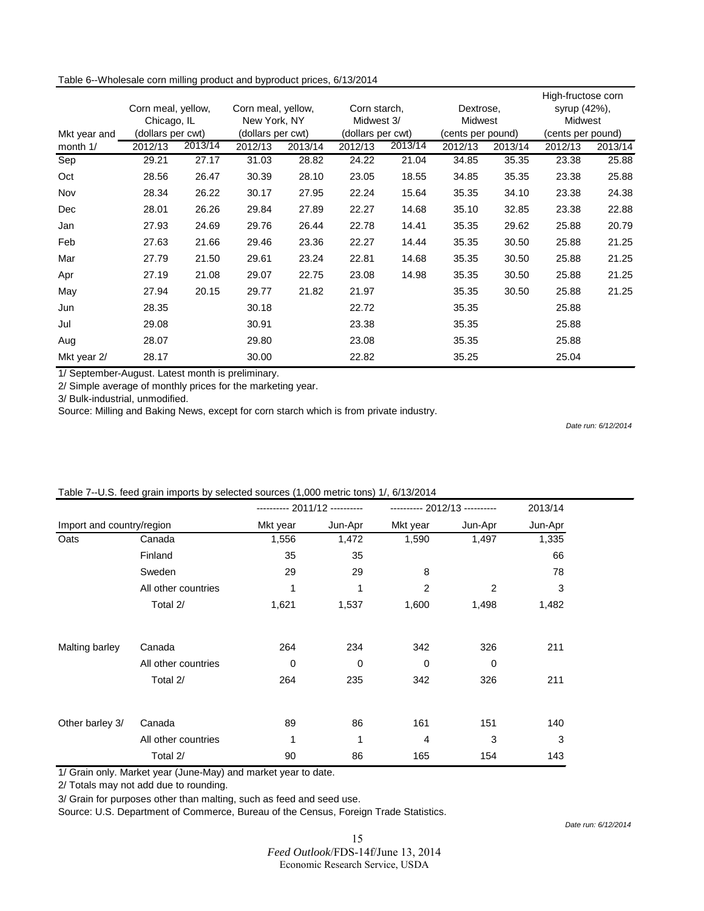| Table 6--Wholesale corn milling product and byproduct prices, 6/13/2014 |  |
|-------------------------------------------------------------------------|--|
|-------------------------------------------------------------------------|--|

|              |                    |         |                    |         |                   |         |                   |         | High-fructose corn |         |
|--------------|--------------------|---------|--------------------|---------|-------------------|---------|-------------------|---------|--------------------|---------|
|              | Corn meal, yellow, |         | Corn meal, yellow, |         | Corn starch,      |         | Dextrose,         |         | syrup (42%),       |         |
|              | Chicago, IL        |         | New York, NY       |         | Midwest 3/        |         | <b>Midwest</b>    |         | Midwest            |         |
| Mkt year and | (dollars per cwt)  |         | (dollars per cwt)  |         | (dollars per cwt) |         | (cents per pound) |         | (cents per pound)  |         |
| month 1/     | 2012/13            | 2013/14 | 2012/13            | 2013/14 | 2012/13           | 2013/14 | 2012/13           | 2013/14 | 2012/13            | 2013/14 |
| Sep          | 29.21              | 27.17   | 31.03              | 28.82   | 24.22             | 21.04   | 34.85             | 35.35   | 23.38              | 25.88   |
| Oct          | 28.56              | 26.47   | 30.39              | 28.10   | 23.05             | 18.55   | 34.85             | 35.35   | 23.38              | 25.88   |
| Nov          | 28.34              | 26.22   | 30.17              | 27.95   | 22.24             | 15.64   | 35.35             | 34.10   | 23.38              | 24.38   |
| Dec          | 28.01              | 26.26   | 29.84              | 27.89   | 22.27             | 14.68   | 35.10             | 32.85   | 23.38              | 22.88   |
| Jan          | 27.93              | 24.69   | 29.76              | 26.44   | 22.78             | 14.41   | 35.35             | 29.62   | 25.88              | 20.79   |
| Feb          | 27.63              | 21.66   | 29.46              | 23.36   | 22.27             | 14.44   | 35.35             | 30.50   | 25.88              | 21.25   |
| Mar          | 27.79              | 21.50   | 29.61              | 23.24   | 22.81             | 14.68   | 35.35             | 30.50   | 25.88              | 21.25   |
| Apr          | 27.19              | 21.08   | 29.07              | 22.75   | 23.08             | 14.98   | 35.35             | 30.50   | 25.88              | 21.25   |
| May          | 27.94              | 20.15   | 29.77              | 21.82   | 21.97             |         | 35.35             | 30.50   | 25.88              | 21.25   |
| Jun          | 28.35              |         | 30.18              |         | 22.72             |         | 35.35             |         | 25.88              |         |
| Jul          | 29.08              |         | 30.91              |         | 23.38             |         | 35.35             |         | 25.88              |         |
| Aug          | 28.07              |         | 29.80              |         | 23.08             |         | 35.35             |         | 25.88              |         |
| Mkt year 2/  | 28.17              |         | 30.00              |         | 22.82             |         | 35.25             |         | 25.04              |         |

1/ September-August. Latest month is preliminary.

2/ Simple average of monthly prices for the marketing year.

3/ Bulk-industrial, unmodified.

Source: Milling and Baking News, except for corn starch which is from private industry.

*Date run: 6/12/2014*

|                           |                     |             | ---------- 2011/12 ---------- |          | ---------- 2012/13 ---------- | 2013/14 |  |
|---------------------------|---------------------|-------------|-------------------------------|----------|-------------------------------|---------|--|
| Import and country/region |                     | Mkt year    | Jun-Apr                       | Mkt year | Jun-Apr                       | Jun-Apr |  |
| Oats                      | Canada              | 1,556       | 1,472                         | 1,590    | 1,497                         | 1,335   |  |
|                           | Finland             | 35          | 35                            |          |                               | 66      |  |
|                           | Sweden              | 29          | 29                            | 8        |                               | 78      |  |
|                           | All other countries |             | 1                             | 2        | 2                             | 3       |  |
|                           | Total 2/            | 1,621       | 1,537                         | 1,600    | 1,498                         | 1,482   |  |
| Malting barley            | Canada              | 264         | 234                           | 342      | 326                           | 211     |  |
|                           | All other countries | $\mathbf 0$ | $\mathbf 0$                   | 0        | 0                             |         |  |
|                           | Total 2/            | 264         | 235                           | 342      | 326                           | 211     |  |
|                           |                     | 89          | 86                            | 161      | 151                           |         |  |
| Other barley 3/           | Canada              |             |                               |          |                               | 140     |  |
|                           | All other countries | 1           | 1                             | 4        | 3                             | 3       |  |
|                           | Total 2/            | 90          | 86                            | 165      | 154                           | 143     |  |

#### Table 7--U.S. feed grain imports by selected sources (1,000 metric tons) 1/, 6/13/2014

1/ Grain only. Market year (June-May) and market year to date.

2/ Totals may not add due to rounding.

3/ Grain for purposes other than malting, such as feed and seed use.

Source: U.S. Department of Commerce, Bureau of the Census, Foreign Trade Statistics.